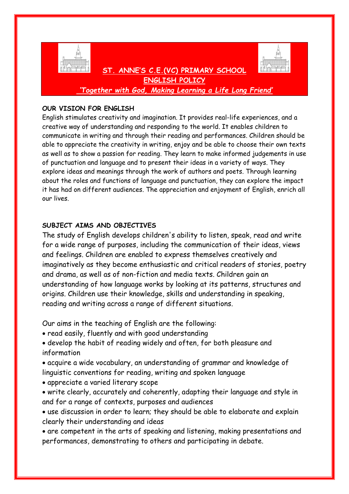

**ENGLISH POLICY** *'Together with God, Making Learning a Life Long Friend'*

 **ST. ANNE'S C.E.(VC) PRIMARY SCHOOL** 

### **OUR VISION FOR ENGLISH**

English stimulates creativity and imagination. It provides real-life experiences, and a creative way of understanding and responding to the world. It enables children to communicate in writing and through their reading and performances. Children should be able to appreciate the creativity in writing, enjoy and be able to choose their own texts as well as to show a passion for reading. They learn to make informed judgements in use of punctuation and language and to present their ideas in a variety of ways. They explore ideas and meanings through the work of authors and poets. Through learning about the roles and functions of language and punctuation, they can explore the impact it has had on different audiences. The appreciation and enjoyment of English, enrich all our lives.

# **SUBJECT AIMS AND OBJECTIVES**

The study of English develops children's ability to listen, speak, read and write for a wide range of purposes, including the communication of their ideas, views and feelings. Children are enabled to express themselves creatively and imaginatively as they become enthusiastic and critical readers of stories, poetry and drama, as well as of non-fiction and media texts. Children gain an understanding of how language works by looking at its patterns, structures and origins. Children use their knowledge, skills and understanding in speaking, reading and writing across a range of different situations.

Our aims in the teaching of English are the following:

- read easily, fluently and with good understanding
- develop the habit of reading widely and often, for both pleasure and information
- acquire a wide vocabulary, an understanding of grammar and knowledge of linguistic conventions for reading, writing and spoken language
- appreciate a varied literary scope
- write clearly, accurately and coherently, adapting their language and style in and for a range of contexts, purposes and audiences
- use discussion in order to learn; they should be able to elaborate and explain clearly their understanding and ideas
- are competent in the arts of speaking and listening, making presentations and performances, demonstrating to others and participating in debate.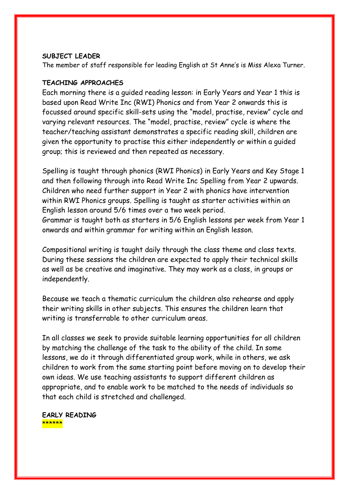#### **SUBJECT LEADER**

The member of staff responsible for leading English at St Anne's is Miss Alexa Turner.

#### **TEACHING APPROACHES**

Each morning there is a guided reading lesson: in Early Years and Year 1 this is based upon Read Write Inc (RWI) Phonics and from Year 2 onwards this is focussed around specific skill-sets using the "model, practise, review" cycle and varying relevant resources. The "model, practise, review" cycle is where the teacher/teaching assistant demonstrates a specific reading skill, children are given the opportunity to practise this either independently or within a guided group; this is reviewed and then repeated as necessary.

Spelling is taught through phonics (RWI Phonics) in Early Years and Key Stage 1 and then following through into Read Write Inc Spelling from Year 2 upwards. Children who need further support in Year 2 with phonics have intervention within RWI Phonics groups. Spelling is taught as starter activities within an English lesson around 5/6 times over a two week period. Grammar is taught both as starters in 5/6 English lessons per week from Year 1

onwards and within grammar for writing within an English lesson.

Compositional writing is taught daily through the class theme and class texts. During these sessions the children are expected to apply their technical skills as well as be creative and imaginative. They may work as a class, in groups or independently.

Because we teach a thematic curriculum the children also rehearse and apply their writing skills in other subjects. This ensures the children learn that writing is transferrable to other curriculum areas.

In all classes we seek to provide suitable learning opportunities for all children by matching the challenge of the task to the ability of the child. In some lessons, we do it through differentiated group work, while in others, we ask children to work from the same starting point before moving on to develop their own ideas. We use teaching assistants to support different children as appropriate, and to enable work to be matched to the needs of individuals so that each child is stretched and challenged.

**EARLY READING** \*\*\*\*\*\*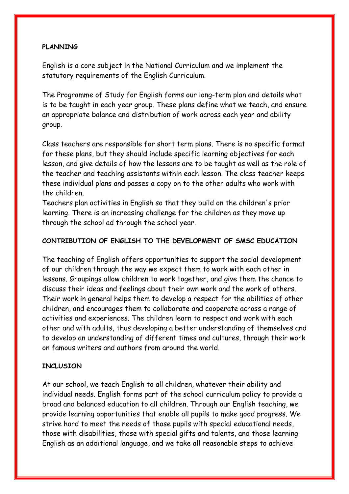## **PLANNING**

English is a core subject in the National Curriculum and we implement the statutory requirements of the English Curriculum.

The Programme of Study for English forms our long-term plan and details what is to be taught in each year group. These plans define what we teach, and ensure an appropriate balance and distribution of work across each year and ability group.

Class teachers are responsible for short term plans. There is no specific format for these plans, but they should include specific learning objectives for each lesson, and give details of how the lessons are to be taught as well as the role of the teacher and teaching assistants within each lesson. The class teacher keeps these individual plans and passes a copy on to the other adults who work with the children.

Teachers plan activities in English so that they build on the children's prior learning. There is an increasing challenge for the children as they move up through the school ad through the school year.

# **CONTRIBUTION OF ENGLISH TO THE DEVELOPMENT OF SMSC EDUCATION**

The teaching of English offers opportunities to support the social development of our children through the way we expect them to work with each other in lessons. Groupings allow children to work together, and give them the chance to discuss their ideas and feelings about their own work and the work of others. Their work in general helps them to develop a respect for the abilities of other children, and encourages them to collaborate and cooperate across a range of activities and experiences. The children learn to respect and work with each other and with adults, thus developing a better understanding of themselves and to develop an understanding of different times and cultures, through their work on famous writers and authors from around the world.

# **INCLUSION**

At our school, we teach English to all children, whatever their ability and individual needs. English forms part of the school curriculum policy to provide a broad and balanced education to all children. Through our English teaching, we provide learning opportunities that enable all pupils to make good progress. We strive hard to meet the needs of those pupils with special educational needs, those with disabilities, those with special gifts and talents, and those learning English as an additional language, and we take all reasonable steps to achieve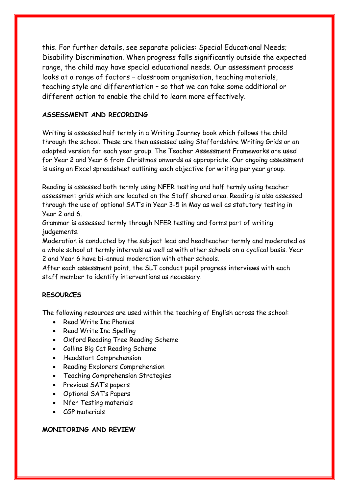this. For further details, see separate policies: Special Educational Needs; Disability Discrimination. When progress falls significantly outside the expected range, the child may have special educational needs. Our assessment process looks at a range of factors – classroom organisation, teaching materials, teaching style and differentiation – so that we can take some additional or different action to enable the child to learn more effectively.

### **ASSESSMENT AND RECORDING**

Writing is assessed half termly in a Writing Journey book which follows the child through the school. These are then assessed using Staffordshire Writing Grids or an adapted version for each year group. The Teacher Assessment Frameworks are used for Year 2 and Year 6 from Christmas onwards as appropriate. Our ongoing assessment is using an Excel spreadsheet outlining each objective for writing per year group.

Reading is assessed both termly using NFER testing and half termly using teacher assessment grids which are located on the Staff shared area. Reading is also assessed through the use of optional SAT's in Year 3-5 in May as well as statutory testing in Year 2 and 6.

Grammar is assessed termly through NFER testing and forms part of writing judgements.

Moderation is conducted by the subject lead and headteacher termly and moderated as a whole school at termly intervals as well as with other schools on a cyclical basis. Year 2 and Year 6 have bi-annual moderation with other schools.

After each assessment point, the SLT conduct pupil progress interviews with each staff member to identify interventions as necessary.

# **RESOURCES**

The following resources are used within the teaching of English across the school:

- Read Write Inc Phonics
- Read Write Inc Spelling
- Oxford Reading Tree Reading Scheme
- Collins Big Cat Reading Scheme
- Headstart Comprehension
- Reading Explorers Comprehension
- Teaching Comprehension Strategies
- Previous SAT's papers
- Optional SAT's Papers
- Nfer Testing materials
- CGP materials

#### **MONITORING AND REVIEW**